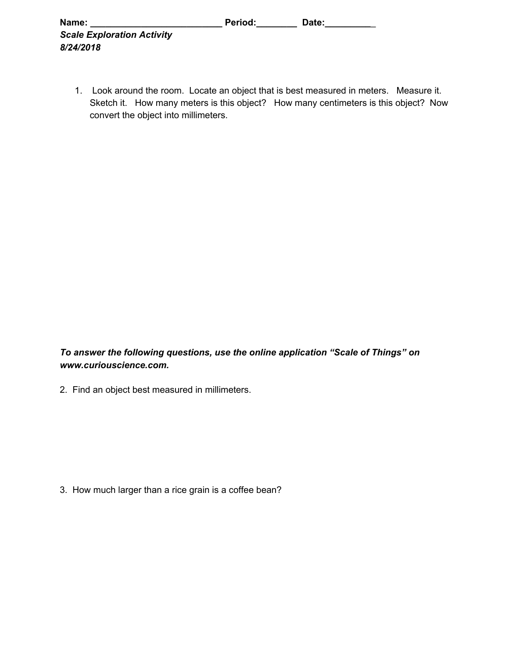| Name:                             | Period: | Date: |  |
|-----------------------------------|---------|-------|--|
| <b>Scale Exploration Activity</b> |         |       |  |
| 8/24/2018                         |         |       |  |

1. Look around the room. Locate an object that is best measured in meters. Measure it. Sketch it. How many meters is this object? How many centimeters is this object? Now convert the object into millimeters.

*To answer the following questions, use the online application "Scale of Things" on www.curiouscience.com.*

2. Find an object best measured in millimeters.

3. How much larger than a rice grain is a coffee bean?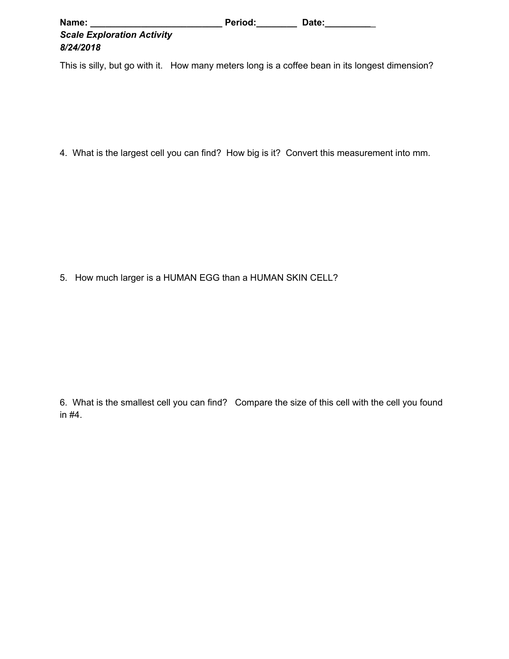| Name:                             | <b>Period:</b> | Date: |
|-----------------------------------|----------------|-------|
| <b>Scale Exploration Activity</b> |                |       |
| 8/24/2018                         |                |       |

This is silly, but go with it. How many meters long is a coffee bean in its longest dimension?

4. What is the largest cell you can find? How big is it? Convert this measurement into mm.

5. How much larger is a HUMAN EGG than a HUMAN SKIN CELL?

6. What is the smallest cell you can find? Compare the size of this cell with the cell you found in #4.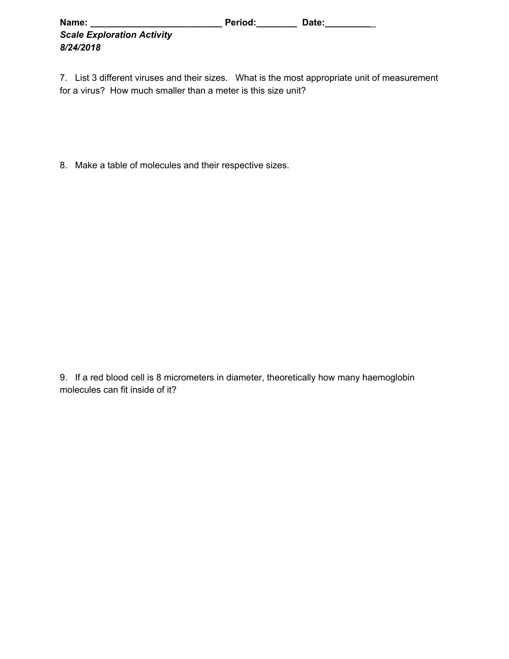| Name:                             | Period: | Date: |
|-----------------------------------|---------|-------|
| <b>Scale Exploration Activity</b> |         |       |
| 8/24/2018                         |         |       |

7. List 3 different viruses and their sizes. What is the most appropriate unit of measurement for a virus? How much smaller than a meter is this size unit?

8. Make a table of molecules and their respective sizes.

9. If a red blood cell is 8 micrometers in diameter, theoretically how many haemoglobin molecules can fit inside of it?